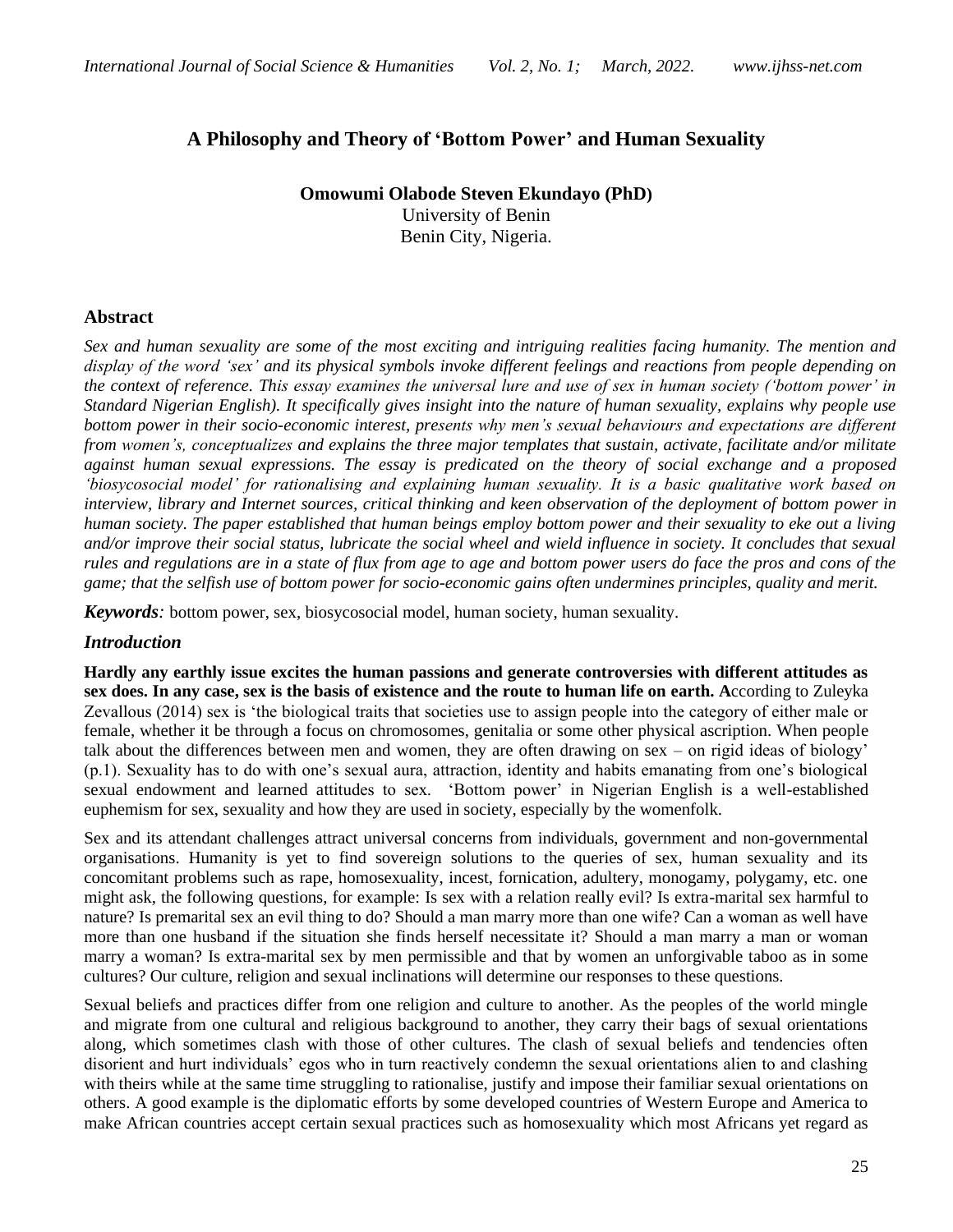## **A Philosophy and Theory of 'Bottom Power' and Human Sexuality**

**Omowumi Olabode Steven Ekundayo (PhD)** University of Benin Benin City, Nigeria.

#### **Abstract**

*Sex and human sexuality are some of the most exciting and intriguing realities facing humanity. The mention and display of the word 'sex' and its physical symbols invoke different feelings and reactions from people depending on the context of reference. This essay examines the universal lure and use of sex in human society ('bottom power' in Standard Nigerian English). It specifically gives insight into the nature of human sexuality, explains why people use bottom power in their socio-economic interest, presents why men's sexual behaviours and expectations are different from women's, conceptualizes and explains the three major templates that sustain, activate, facilitate and/or militate against human sexual expressions. The essay is predicated on the theory of social exchange and a proposed 'biosycosocial model' for rationalising and explaining human sexuality. It is a basic qualitative work based on interview, library and Internet sources, critical thinking and keen observation of the deployment of bottom power in human society. The paper established that human beings employ bottom power and their sexuality to eke out a living and/or improve their social status, lubricate the social wheel and wield influence in society. It concludes that sexual rules and regulations are in a state of flux from age to age and bottom power users do face the pros and cons of the game; that the selfish use of bottom power for socio-economic gains often undermines principles, quality and merit.*

*Keywords:* bottom power, sex, biosycosocial model, human society, human sexuality.

#### *Introduction*

**Hardly any earthly issue excites the human passions and generate controversies with different attitudes as sex does. In any case, sex is the basis of existence and the route to human life on earth. A**ccording to Zuleyka Zevallous (2014) sex is 'the biological traits that societies use to assign people into the category of either male or female, whether it be through a focus on chromosomes, genitalia or some other physical ascription. When people talk about the differences between men and women, they are often drawing on sex – on rigid ideas of biology' (p.1). Sexuality has to do with one's sexual aura, attraction, identity and habits emanating from one's biological sexual endowment and learned attitudes to sex. 'Bottom power' in Nigerian English is a well-established euphemism for sex, sexuality and how they are used in society, especially by the womenfolk.

Sex and its attendant challenges attract universal concerns from individuals, government and non-governmental organisations. Humanity is yet to find sovereign solutions to the queries of sex, human sexuality and its concomitant problems such as rape, homosexuality, incest, fornication, adultery, monogamy, polygamy, etc. one might ask, the following questions, for example: Is sex with a relation really evil? Is extra-marital sex harmful to nature? Is premarital sex an evil thing to do? Should a man marry more than one wife? Can a woman as well have more than one husband if the situation she finds herself necessitate it? Should a man marry a man or woman marry a woman? Is extra-marital sex by men permissible and that by women an unforgivable taboo as in some cultures? Our culture, religion and sexual inclinations will determine our responses to these questions.

Sexual beliefs and practices differ from one religion and culture to another. As the peoples of the world mingle and migrate from one cultural and religious background to another, they carry their bags of sexual orientations along, which sometimes clash with those of other cultures. The clash of sexual beliefs and tendencies often disorient and hurt individuals' egos who in turn reactively condemn the sexual orientations alien to and clashing with theirs while at the same time struggling to rationalise, justify and impose their familiar sexual orientations on others. A good example is the diplomatic efforts by some developed countries of Western Europe and America to make African countries accept certain sexual practices such as homosexuality which most Africans yet regard as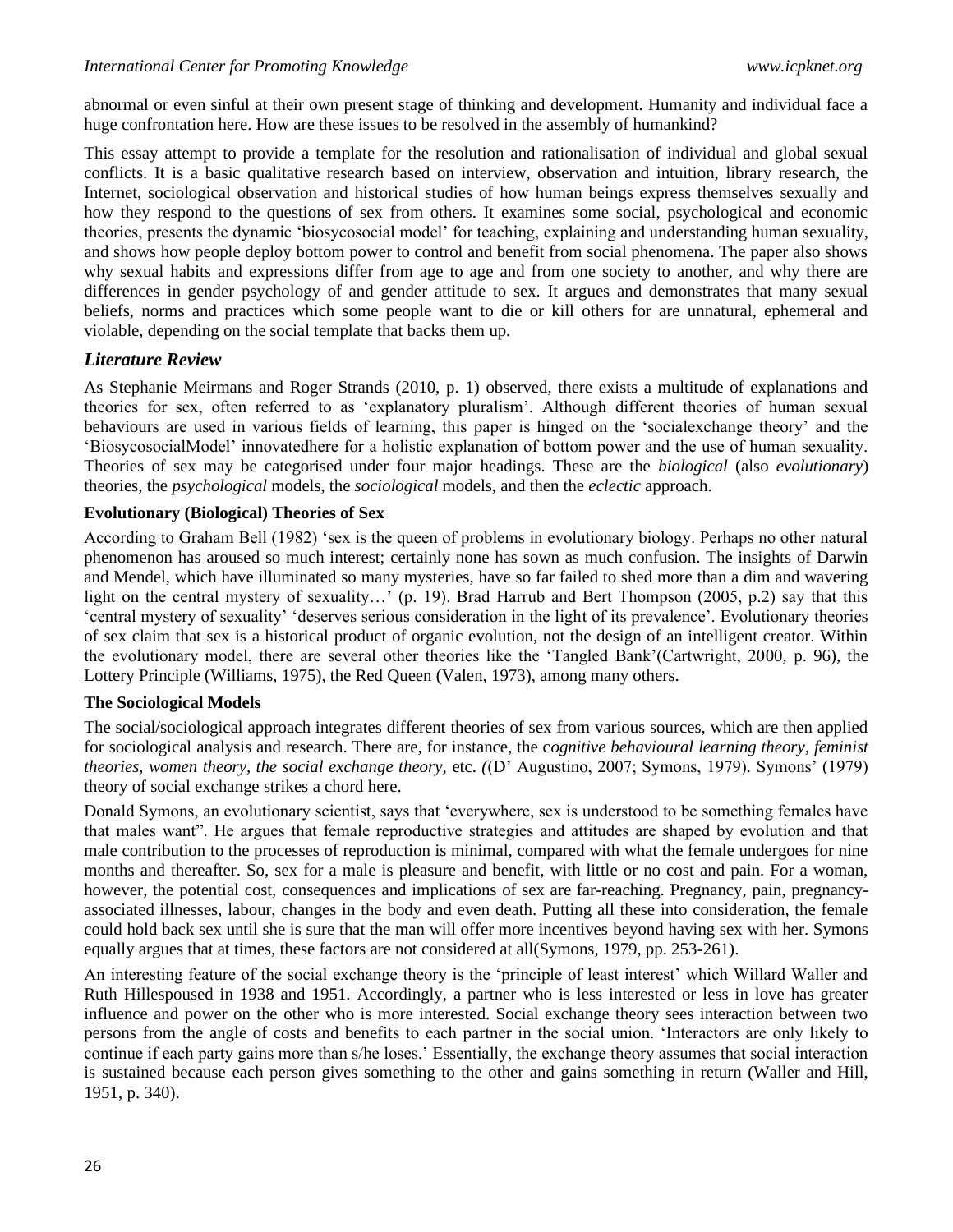abnormal or even sinful at their own present stage of thinking and development. Humanity and individual face a huge confrontation here. How are these issues to be resolved in the assembly of humankind?

This essay attempt to provide a template for the resolution and rationalisation of individual and global sexual conflicts. It is a basic qualitative research based on interview, observation and intuition, library research, the Internet, sociological observation and historical studies of how human beings express themselves sexually and how they respond to the questions of sex from others. It examines some social, psychological and economic theories, presents the dynamic 'biosycosocial model' for teaching, explaining and understanding human sexuality, and shows how people deploy bottom power to control and benefit from social phenomena. The paper also shows why sexual habits and expressions differ from age to age and from one society to another, and why there are differences in gender psychology of and gender attitude to sex. It argues and demonstrates that many sexual beliefs, norms and practices which some people want to die or kill others for are unnatural, ephemeral and violable, depending on the social template that backs them up.

## *Literature Review*

As Stephanie Meirmans and Roger Strands (2010, p. 1) observed, there exists a multitude of explanations and theories for sex, often referred to as 'explanatory pluralism'. Although different theories of human sexual behaviours are used in various fields of learning, this paper is hinged on the 'socialexchange theory' and the 'BiosycosocialModel' innovatedhere for a holistic explanation of bottom power and the use of human sexuality. Theories of sex may be categorised under four major headings. These are the *biological* (also *evolutionary*) theories, the *psychological* models, the *sociological* models, and then the *eclectic* approach.

### **Evolutionary (Biological) Theories of Sex**

According to Graham Bell (1982) 'sex is the queen of problems in evolutionary biology. Perhaps no other natural phenomenon has aroused so much interest; certainly none has sown as much confusion. The insights of Darwin and Mendel, which have illuminated so many mysteries, have so far failed to shed more than a dim and wavering light on the central mystery of sexuality…' (p. 19). Brad Harrub and Bert Thompson (2005, p.2) say that this 'central mystery of sexuality' 'deserves serious consideration in the light of its prevalence'. Evolutionary theories of sex claim that sex is a historical product of organic evolution, not the design of an intelligent creator. Within the evolutionary model, there are several other theories like the 'Tangled Bank'(Cartwright, 2000, p. 96), the Lottery Principle (Williams, 1975), the Red Queen (Valen, 1973), among many others.

### **The Sociological Models**

The social/sociological approach integrates different theories of sex from various sources, which are then applied for sociological analysis and research. There are, for instance, the c*ognitive behavioural learning theory, feminist theories, women theory, the social exchange theory, etc. ((D' Augustino, 2007; Symons, 1979). Symons' (1979)* theory of social exchange strikes a chord here.

Donald Symons, an evolutionary scientist, says that 'everywhere, sex is understood to be something females have that males want". He argues that female reproductive strategies and attitudes are shaped by evolution and that male contribution to the processes of reproduction is minimal, compared with what the female undergoes for nine months and thereafter. So, sex for a male is pleasure and benefit, with little or no cost and pain. For a woman, however, the potential cost, consequences and implications of sex are far-reaching. Pregnancy, pain, pregnancyassociated illnesses, labour, changes in the body and even death. Putting all these into consideration, the female could hold back sex until she is sure that the man will offer more incentives beyond having sex with her. Symons equally argues that at times, these factors are not considered at all(Symons, 1979, pp. 253-261).

An interesting feature of the social exchange theory is the 'principle of least interest' which Willard Waller and Ruth Hillespoused in 1938 and 1951. Accordingly, a partner who is less interested or less in love has greater influence and power on the other who is more interested. Social exchange theory sees interaction between two persons from the angle of costs and benefits to each partner in the social union. 'Interactors are only likely to continue if each party gains more than s/he loses.' Essentially, the exchange theory assumes that social interaction is sustained because each person gives something to the other and gains something in return (Waller and Hill, 1951, p. 340).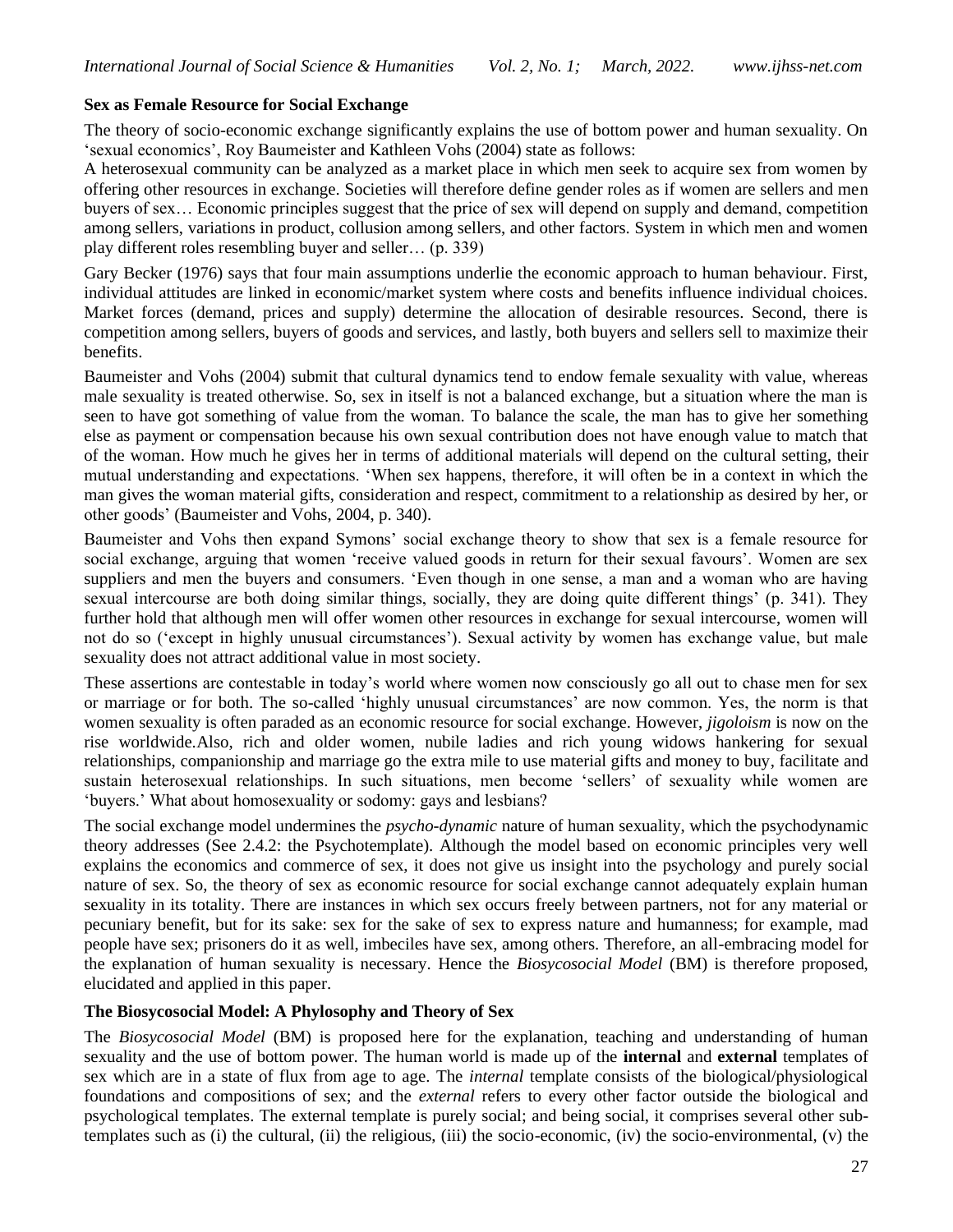#### **Sex as Female Resource for Social Exchange**

The theory of socio-economic exchange significantly explains the use of bottom power and human sexuality. On 'sexual economics', Roy Baumeister and Kathleen Vohs (2004) state as follows:

A heterosexual community can be analyzed as a market place in which men seek to acquire sex from women by offering other resources in exchange. Societies will therefore define gender roles as if women are sellers and men buyers of sex… Economic principles suggest that the price of sex will depend on supply and demand, competition among sellers, variations in product, collusion among sellers, and other factors. System in which men and women play different roles resembling buyer and seller… (p. 339)

Gary Becker (1976) says that four main assumptions underlie the economic approach to human behaviour. First, individual attitudes are linked in economic/market system where costs and benefits influence individual choices. Market forces (demand, prices and supply) determine the allocation of desirable resources. Second, there is competition among sellers, buyers of goods and services, and lastly, both buyers and sellers sell to maximize their benefits.

Baumeister and Vohs (2004) submit that cultural dynamics tend to endow female sexuality with value, whereas male sexuality is treated otherwise. So, sex in itself is not a balanced exchange, but a situation where the man is seen to have got something of value from the woman. To balance the scale, the man has to give her something else as payment or compensation because his own sexual contribution does not have enough value to match that of the woman. How much he gives her in terms of additional materials will depend on the cultural setting, their mutual understanding and expectations. 'When sex happens, therefore, it will often be in a context in which the man gives the woman material gifts, consideration and respect, commitment to a relationship as desired by her, or other goods' (Baumeister and Vohs, 2004, p. 340).

Baumeister and Vohs then expand Symons' social exchange theory to show that sex is a female resource for social exchange, arguing that women 'receive valued goods in return for their sexual favours'. Women are sex suppliers and men the buyers and consumers. 'Even though in one sense, a man and a woman who are having sexual intercourse are both doing similar things, socially, they are doing quite different things' (p. 341). They further hold that although men will offer women other resources in exchange for sexual intercourse, women will not do so ('except in highly unusual circumstances'). Sexual activity by women has exchange value, but male sexuality does not attract additional value in most society.

These assertions are contestable in today's world where women now consciously go all out to chase men for sex or marriage or for both. The so-called 'highly unusual circumstances' are now common. Yes, the norm is that women sexuality is often paraded as an economic resource for social exchange. However, *jigoloism* is now on the rise worldwide*.*Also, rich and older women, nubile ladies and rich young widows hankering for sexual relationships, companionship and marriage go the extra mile to use material gifts and money to buy, facilitate and sustain heterosexual relationships. In such situations, men become 'sellers' of sexuality while women are 'buyers.' What about homosexuality or sodomy: gays and lesbians?

The social exchange model undermines the *psycho-dynamic* nature of human sexuality, which the psychodynamic theory addresses (See 2.4.2: the Psychotemplate). Although the model based on economic principles very well explains the economics and commerce of sex, it does not give us insight into the psychology and purely social nature of sex. So, the theory of sex as economic resource for social exchange cannot adequately explain human sexuality in its totality. There are instances in which sex occurs freely between partners, not for any material or pecuniary benefit, but for its sake: sex for the sake of sex to express nature and humanness; for example, mad people have sex; prisoners do it as well, imbeciles have sex, among others. Therefore, an all-embracing model for the explanation of human sexuality is necessary. Hence the *Biosycosocial Model* (BM) is therefore proposed, elucidated and applied in this paper.

### **The Biosycosocial Model: A Phylosophy and Theory of Sex**

The *Biosycosocial Model* (BM) is proposed here for the explanation, teaching and understanding of human sexuality and the use of bottom power. The human world is made up of the **internal** and **external** templates of sex which are in a state of flux from age to age. The *internal* template consists of the biological/physiological foundations and compositions of sex; and the *external* refers to every other factor outside the biological and psychological templates. The external template is purely social; and being social, it comprises several other subtemplates such as (i) the cultural, (ii) the religious, (iii) the socio-economic, (iv) the socio-environmental, (v) the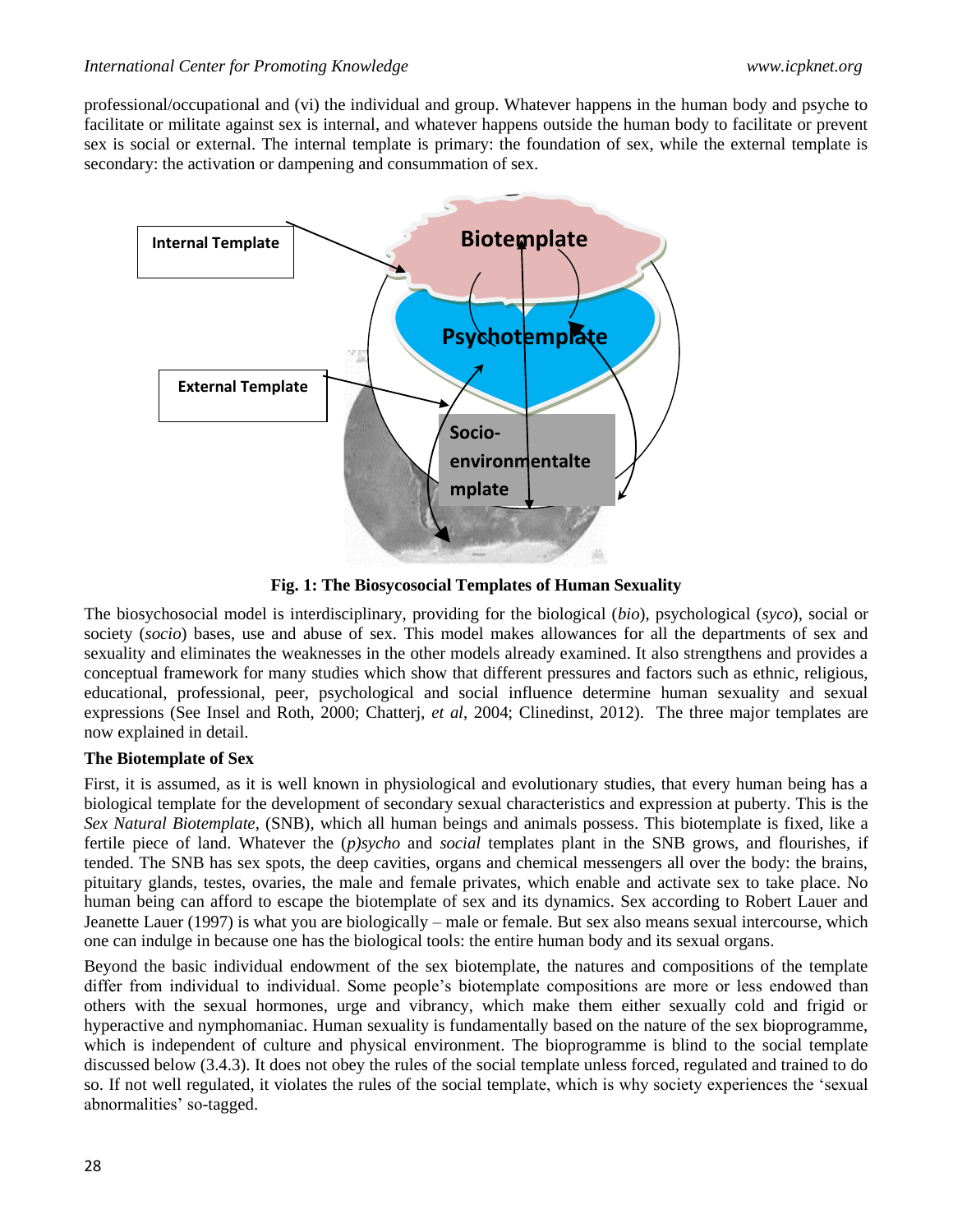professional/occupational and (vi) the individual and group. Whatever happens in the human body and psyche to facilitate or militate against sex is internal, and whatever happens outside the human body to facilitate or prevent sex is social or external. The internal template is primary: the foundation of sex, while the external template is secondary: the activation or dampening and consummation of sex.



**Fig. 1: The Biosycosocial Templates of Human Sexuality**

The biosychosocial model is interdisciplinary, providing for the biological (*bio*), psychological (*syco*), social or society (*socio*) bases, use and abuse of sex. This model makes allowances for all the departments of sex and sexuality and eliminates the weaknesses in the other models already examined. It also strengthens and provides a conceptual framework for many studies which show that different pressures and factors such as ethnic, religious, educational, professional, peer, psychological and social influence determine human sexuality and sexual expressions (See Insel and Roth, 2000; Chatterj, *et al*, 2004; Clinedinst, 2012). The three major templates are now explained in detail.

### **The Biotemplate of Sex**

First, it is assumed, as it is well known in physiological and evolutionary studies, that every human being has a biological template for the development of secondary sexual characteristics and expression at puberty. This is the *Sex Natural Biotemplate,* (SNB), which all human beings and animals possess. This biotemplate is fixed, like a fertile piece of land. Whatever the (*p)sycho* and *social* templates plant in the SNB grows, and flourishes, if tended. The SNB has sex spots, the deep cavities, organs and chemical messengers all over the body: the brains, pituitary glands, testes, ovaries, the male and female privates, which enable and activate sex to take place. No human being can afford to escape the biotemplate of sex and its dynamics. Sex according to Robert Lauer and Jeanette Lauer (1997) is what you are biologically – male or female. But sex also means sexual intercourse, which one can indulge in because one has the biological tools: the entire human body and its sexual organs.

Beyond the basic individual endowment of the sex biotemplate, the natures and compositions of the template differ from individual to individual. Some people's biotemplate compositions are more or less endowed than others with the sexual hormones, urge and vibrancy, which make them either sexually cold and frigid or hyperactive and nymphomaniac. Human sexuality is fundamentally based on the nature of the sex bioprogramme, which is independent of culture and physical environment. The bioprogramme is blind to the social template discussed below (3.4.3). It does not obey the rules of the social template unless forced, regulated and trained to do so. If not well regulated, it violates the rules of the social template, which is why society experiences the 'sexual abnormalities' so-tagged.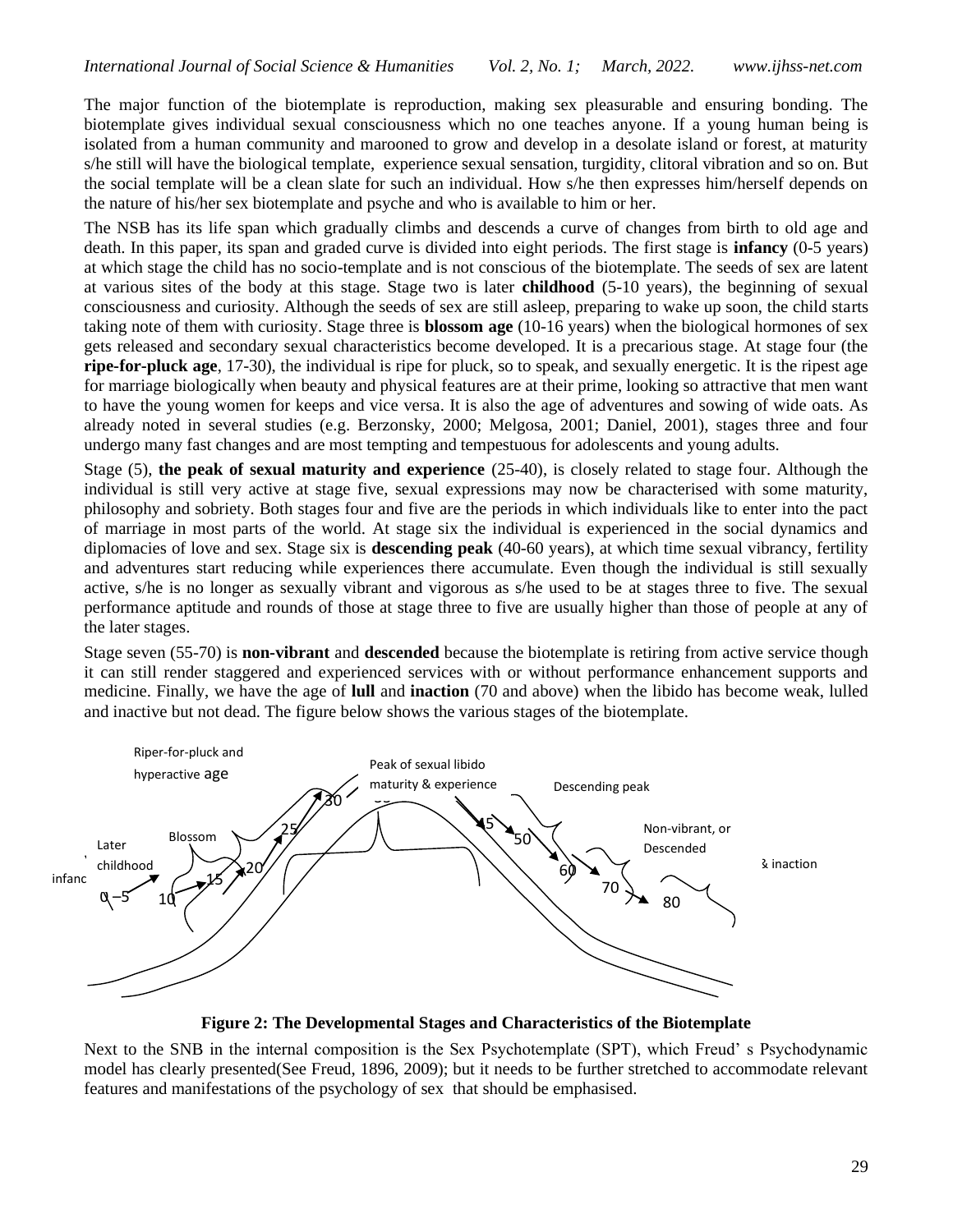The major function of the biotemplate is reproduction, making sex pleasurable and ensuring bonding. The biotemplate gives individual sexual consciousness which no one teaches anyone. If a young human being is isolated from a human community and marooned to grow and develop in a desolate island or forest, at maturity s/he still will have the biological template, experience sexual sensation, turgidity, clitoral vibration and so on. But the social template will be a clean slate for such an individual. How s/he then expresses him/herself depends on the nature of his/her sex biotemplate and psyche and who is available to him or her.

The NSB has its life span which gradually climbs and descends a curve of changes from birth to old age and death. In this paper, its span and graded curve is divided into eight periods. The first stage is **infancy** (0-5 years) at which stage the child has no socio-template and is not conscious of the biotemplate. The seeds of sex are latent at various sites of the body at this stage. Stage two is later **childhood** (5-10 years), the beginning of sexual consciousness and curiosity. Although the seeds of sex are still asleep, preparing to wake up soon, the child starts taking note of them with curiosity. Stage three is **blossom age** (10-16 years) when the biological hormones of sex gets released and secondary sexual characteristics become developed. It is a precarious stage. At stage four (the **ripe-for-pluck age**, 17-30), the individual is ripe for pluck, so to speak, and sexually energetic. It is the ripest age for marriage biologically when beauty and physical features are at their prime, looking so attractive that men want to have the young women for keeps and vice versa. It is also the age of adventures and sowing of wide oats. As already noted in several studies (e.g. Berzonsky, 2000; Melgosa, 2001; Daniel, 2001), stages three and four undergo many fast changes and are most tempting and tempestuous for adolescents and young adults.

Stage (5), **the peak of sexual maturity and experience** (25-40), is closely related to stage four. Although the individual is still very active at stage five, sexual expressions may now be characterised with some maturity, philosophy and sobriety. Both stages four and five are the periods in which individuals like to enter into the pact of marriage in most parts of the world. At stage six the individual is experienced in the social dynamics and diplomacies of love and sex. Stage six is **descending peak** (40-60 years), at which time sexual vibrancy, fertility and adventures start reducing while experiences there accumulate. Even though the individual is still sexually active, s/he is no longer as sexually vibrant and vigorous as s/he used to be at stages three to five. The sexual performance aptitude and rounds of those at stage three to five are usually higher than those of people at any of the later stages.

Stage seven (55-70) is **non-vibrant** and **descended** because the biotemplate is retiring from active service though it can still render staggered and experienced services with or without performance enhancement supports and medicine. Finally, we have the age of **lull** and **inaction** (70 and above) when the libido has become weak, lulled and inactive but not dead. The figure below shows the various stages of the biotemplate.



**Figure 2: The Developmental Stages and Characteristics of the Biotemplate**

Next to the SNB in the internal composition is the Sex Psychotemplate (SPT), which Freud' s Psychodynamic model has clearly presented(See Freud, 1896, 2009); but it needs to be further stretched to accommodate relevant features and manifestations of the psychology of sex that should be emphasised.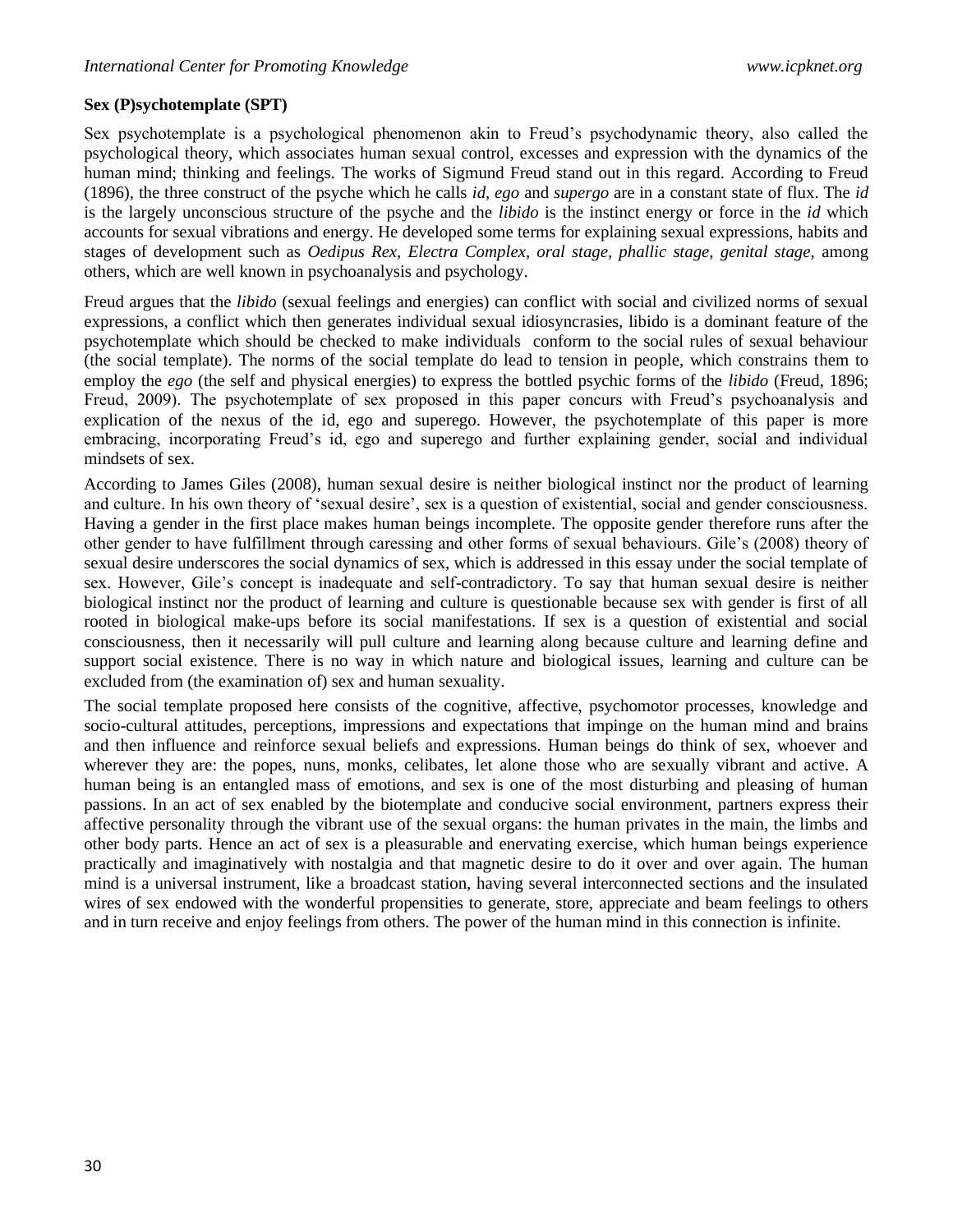#### **Sex (P)sychotemplate (SPT)**

Sex psychotemplate is a psychological phenomenon akin to Freud's psychodynamic theory, also called the psychological theory, which associates human sexual control, excesses and expression with the dynamics of the human mind; thinking and feelings. The works of Sigmund Freud stand out in this regard. According to Freud (1896), the three construct of the psyche which he calls *id, ego* and *supergo* are in a constant state of flux. The *id* is the largely unconscious structure of the psyche and the *libido* is the instinct energy or force in the *id* which accounts for sexual vibrations and energy. He developed some terms for explaining sexual expressions, habits and stages of development such as *Oedipus Rex, Electra Complex, oral stage, phallic stage, genital stage,* among others, which are well known in psychoanalysis and psychology.

Freud argues that the *libido* (sexual feelings and energies) can conflict with social and civilized norms of sexual expressions, a conflict which then generates individual sexual idiosyncrasies, libido is a dominant feature of the psychotemplate which should be checked to make individuals conform to the social rules of sexual behaviour (the social template). The norms of the social template do lead to tension in people, which constrains them to employ the *ego* (the self and physical energies) to express the bottled psychic forms of the *libido* (Freud, 1896; Freud, 2009). The psychotemplate of sex proposed in this paper concurs with Freud's psychoanalysis and explication of the nexus of the id, ego and superego. However, the psychotemplate of this paper is more embracing, incorporating Freud's id, ego and superego and further explaining gender, social and individual mindsets of sex.

According to James Giles (2008), human sexual desire is neither biological instinct nor the product of learning and culture. In his own theory of 'sexual desire', sex is a question of existential, social and gender consciousness. Having a gender in the first place makes human beings incomplete. The opposite gender therefore runs after the other gender to have fulfillment through caressing and other forms of sexual behaviours. Gile's (2008) theory of sexual desire underscores the social dynamics of sex, which is addressed in this essay under the social template of sex. However, Gile's concept is inadequate and self-contradictory. To say that human sexual desire is neither biological instinct nor the product of learning and culture is questionable because sex with gender is first of all rooted in biological make-ups before its social manifestations. If sex is a question of existential and social consciousness, then it necessarily will pull culture and learning along because culture and learning define and support social existence. There is no way in which nature and biological issues, learning and culture can be excluded from (the examination of) sex and human sexuality.

The social template proposed here consists of the cognitive, affective, psychomotor processes, knowledge and socio-cultural attitudes, perceptions, impressions and expectations that impinge on the human mind and brains and then influence and reinforce sexual beliefs and expressions. Human beings do think of sex, whoever and wherever they are: the popes, nuns, monks, celibates, let alone those who are sexually vibrant and active. A human being is an entangled mass of emotions, and sex is one of the most disturbing and pleasing of human passions. In an act of sex enabled by the biotemplate and conducive social environment, partners express their affective personality through the vibrant use of the sexual organs: the human privates in the main, the limbs and other body parts. Hence an act of sex is a pleasurable and enervating exercise, which human beings experience practically and imaginatively with nostalgia and that magnetic desire to do it over and over again. The human mind is a universal instrument, like a broadcast station, having several interconnected sections and the insulated wires of sex endowed with the wonderful propensities to generate, store, appreciate and beam feelings to others and in turn receive and enjoy feelings from others. The power of the human mind in this connection is infinite.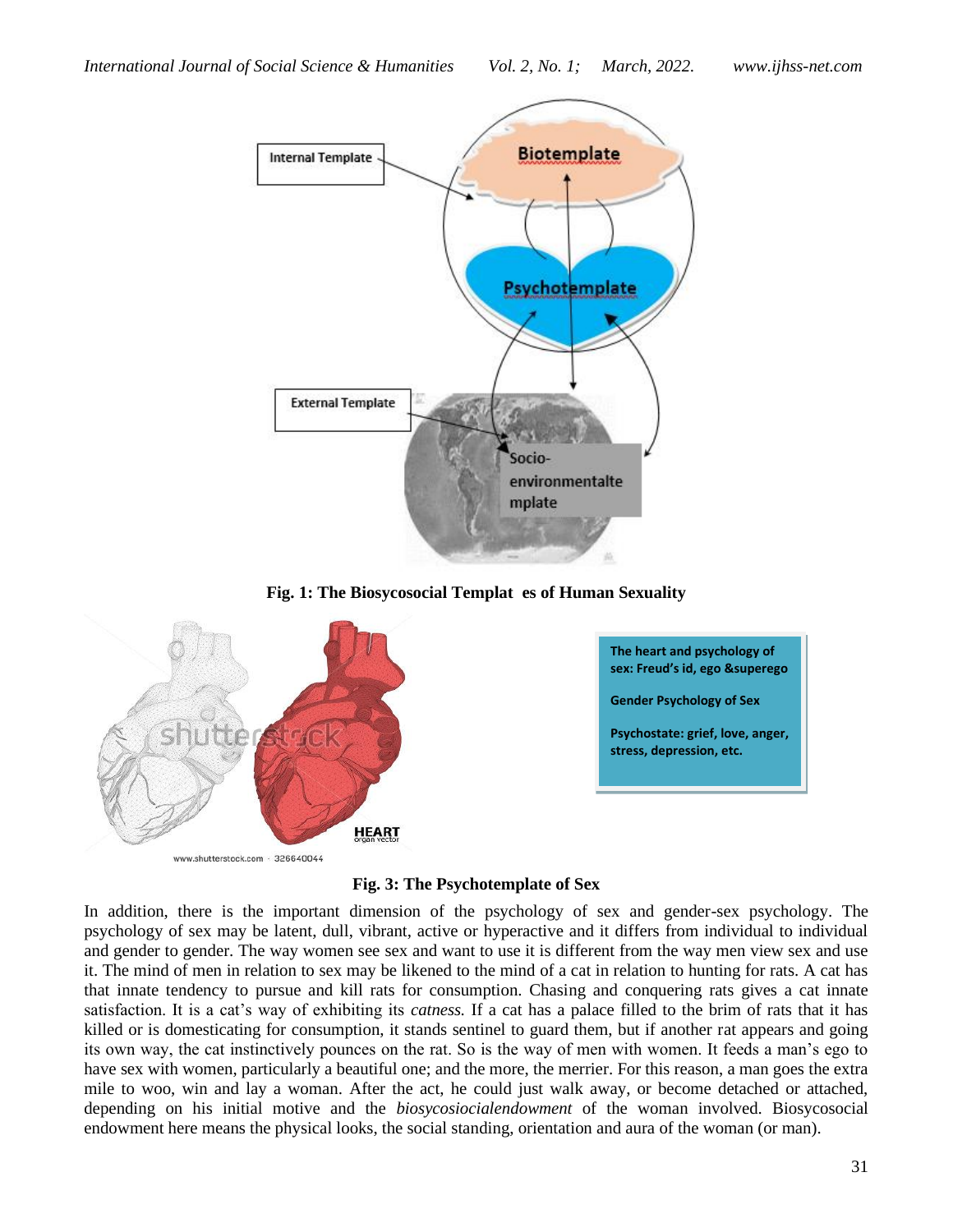

**Fig. 1: The Biosycosocial Templat es of Human Sexuality**



**Fig. 3: The Psychotemplate of Sex**

In addition, there is the important dimension of the psychology of sex and gender-sex psychology. The psychology of sex may be latent, dull, vibrant, active or hyperactive and it differs from individual to individual and gender to gender. The way women see sex and want to use it is different from the way men view sex and use it. The mind of men in relation to sex may be likened to the mind of a cat in relation to hunting for rats. A cat has that innate tendency to pursue and kill rats for consumption. Chasing and conquering rats gives a cat innate satisfaction. It is a cat's way of exhibiting its *catness.* If a cat has a palace filled to the brim of rats that it has killed or is domesticating for consumption, it stands sentinel to guard them, but if another rat appears and going its own way, the cat instinctively pounces on the rat. So is the way of men with women. It feeds a man's ego to have sex with women, particularly a beautiful one; and the more, the merrier. For this reason, a man goes the extra mile to woo, win and lay a woman. After the act, he could just walk away, or become detached or attached, depending on his initial motive and the *biosycosiocialendowment* of the woman involved. Biosycosocial endowment here means the physical looks, the social standing, orientation and aura of the woman (or man).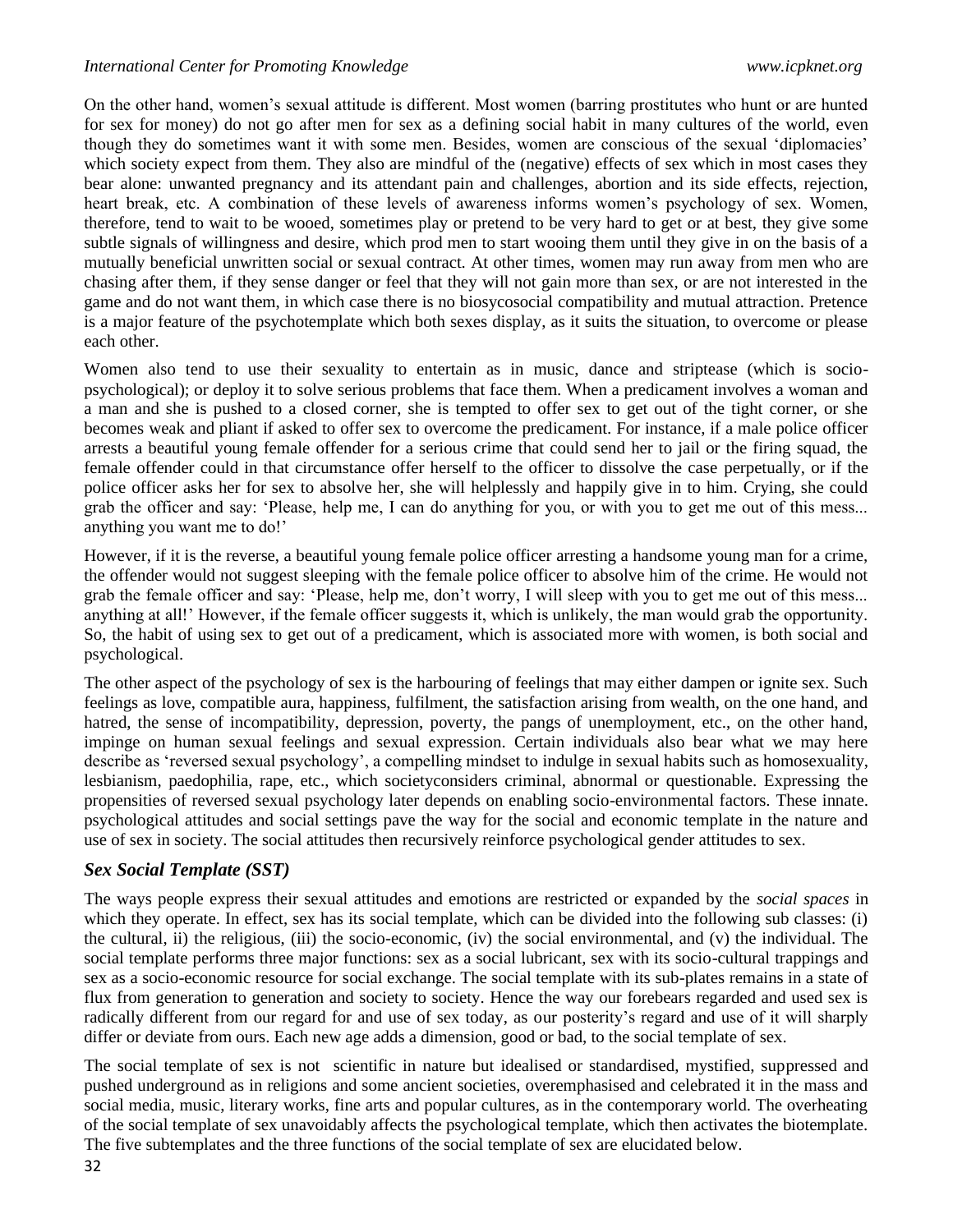On the other hand, women's sexual attitude is different. Most women (barring prostitutes who hunt or are hunted for sex for money) do not go after men for sex as a defining social habit in many cultures of the world, even though they do sometimes want it with some men. Besides, women are conscious of the sexual 'diplomacies' which society expect from them. They also are mindful of the (negative) effects of sex which in most cases they bear alone: unwanted pregnancy and its attendant pain and challenges, abortion and its side effects, rejection, heart break, etc. A combination of these levels of awareness informs women's psychology of sex. Women, therefore, tend to wait to be wooed, sometimes play or pretend to be very hard to get or at best, they give some subtle signals of willingness and desire, which prod men to start wooing them until they give in on the basis of a mutually beneficial unwritten social or sexual contract. At other times, women may run away from men who are chasing after them, if they sense danger or feel that they will not gain more than sex, or are not interested in the game and do not want them, in which case there is no biosycosocial compatibility and mutual attraction. Pretence is a major feature of the psychotemplate which both sexes display, as it suits the situation, to overcome or please each other.

Women also tend to use their sexuality to entertain as in music, dance and striptease (which is sociopsychological); or deploy it to solve serious problems that face them. When a predicament involves a woman and a man and she is pushed to a closed corner, she is tempted to offer sex to get out of the tight corner, or she becomes weak and pliant if asked to offer sex to overcome the predicament. For instance, if a male police officer arrests a beautiful young female offender for a serious crime that could send her to jail or the firing squad, the female offender could in that circumstance offer herself to the officer to dissolve the case perpetually, or if the police officer asks her for sex to absolve her, she will helplessly and happily give in to him. Crying, she could grab the officer and say: 'Please, help me, I can do anything for you, or with you to get me out of this mess... anything you want me to do!'

However, if it is the reverse, a beautiful young female police officer arresting a handsome young man for a crime, the offender would not suggest sleeping with the female police officer to absolve him of the crime. He would not grab the female officer and say: 'Please, help me, don't worry, I will sleep with you to get me out of this mess... anything at all!' However, if the female officer suggests it, which is unlikely, the man would grab the opportunity. So, the habit of using sex to get out of a predicament, which is associated more with women, is both social and psychological.

The other aspect of the psychology of sex is the harbouring of feelings that may either dampen or ignite sex. Such feelings as love, compatible aura, happiness, fulfilment, the satisfaction arising from wealth, on the one hand, and hatred, the sense of incompatibility, depression, poverty, the pangs of unemployment, etc., on the other hand, impinge on human sexual feelings and sexual expression. Certain individuals also bear what we may here describe as 'reversed sexual psychology', a compelling mindset to indulge in sexual habits such as homosexuality, lesbianism, paedophilia, rape, etc., which societyconsiders criminal, abnormal or questionable. Expressing the propensities of reversed sexual psychology later depends on enabling socio-environmental factors. These innate. psychological attitudes and social settings pave the way for the social and economic template in the nature and use of sex in society. The social attitudes then recursively reinforce psychological gender attitudes to sex.

# *Sex Social Template (SST)*

The ways people express their sexual attitudes and emotions are restricted or expanded by the *social spaces* in which they operate. In effect, sex has its social template, which can be divided into the following sub classes: (i) the cultural, ii) the religious, (iii) the socio-economic, (iv) the social environmental, and (v) the individual. The social template performs three major functions: sex as a social lubricant, sex with its socio-cultural trappings and sex as a socio-economic resource for social exchange. The social template with its sub-plates remains in a state of flux from generation to generation and society to society. Hence the way our forebears regarded and used sex is radically different from our regard for and use of sex today, as our posterity's regard and use of it will sharply differ or deviate from ours. Each new age adds a dimension, good or bad, to the social template of sex.

The social template of sex is not scientific in nature but idealised or standardised, mystified, suppressed and pushed underground as in religions and some ancient societies, overemphasised and celebrated it in the mass and social media, music, literary works, fine arts and popular cultures, as in the contemporary world. The overheating of the social template of sex unavoidably affects the psychological template, which then activates the biotemplate. The five subtemplates and the three functions of the social template of sex are elucidated below.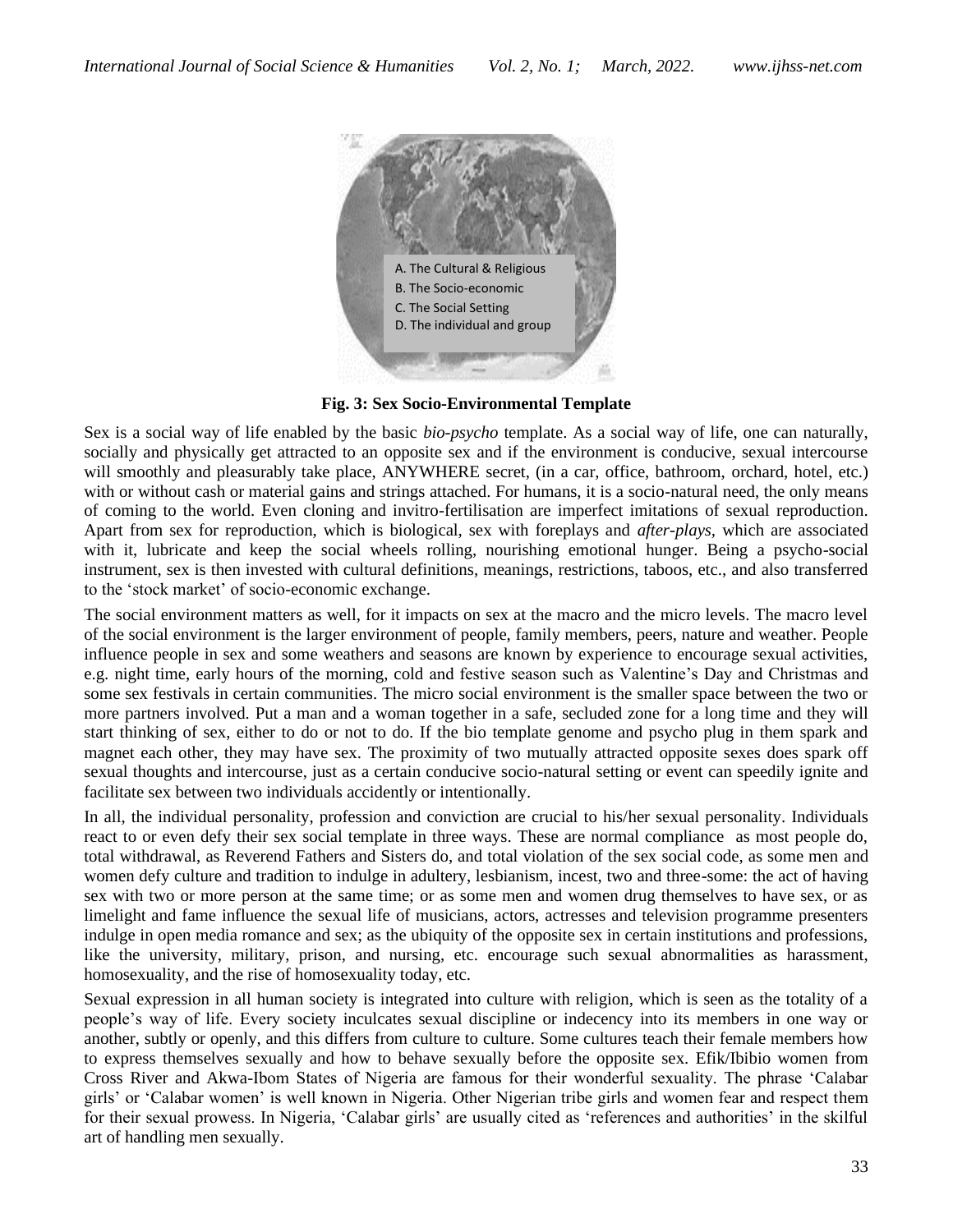

**Fig. 3: Sex Socio-Environmental Template**

Sex is a social way of life enabled by the basic *bio-psycho* template. As a social way of life, one can naturally, socially and physically get attracted to an opposite sex and if the environment is conducive, sexual intercourse will smoothly and pleasurably take place, ANYWHERE secret, (in a car, office, bathroom, orchard, hotel, etc.) with or without cash or material gains and strings attached. For humans, it is a socio-natural need, the only means of coming to the world. Even cloning and invitro-fertilisation are imperfect imitations of sexual reproduction. Apart from sex for reproduction, which is biological, sex with foreplays and *after-plays,* which are associated with it, lubricate and keep the social wheels rolling, nourishing emotional hunger. Being a psycho-social instrument, sex is then invested with cultural definitions, meanings, restrictions, taboos, etc., and also transferred to the 'stock market' of socio-economic exchange.

The social environment matters as well, for it impacts on sex at the macro and the micro levels. The macro level of the social environment is the larger environment of people, family members, peers, nature and weather. People influence people in sex and some weathers and seasons are known by experience to encourage sexual activities, e.g. night time, early hours of the morning, cold and festive season such as Valentine's Day and Christmas and some sex festivals in certain communities. The micro social environment is the smaller space between the two or more partners involved. Put a man and a woman together in a safe, secluded zone for a long time and they will start thinking of sex, either to do or not to do. If the bio template genome and psycho plug in them spark and magnet each other, they may have sex. The proximity of two mutually attracted opposite sexes does spark off sexual thoughts and intercourse, just as a certain conducive socio-natural setting or event can speedily ignite and facilitate sex between two individuals accidently or intentionally.

In all, the individual personality, profession and conviction are crucial to his/her sexual personality. Individuals react to or even defy their sex social template in three ways. These are normal compliance as most people do, total withdrawal, as Reverend Fathers and Sisters do, and total violation of the sex social code, as some men and women defy culture and tradition to indulge in adultery, lesbianism, incest, two and three-some: the act of having sex with two or more person at the same time; or as some men and women drug themselves to have sex, or as limelight and fame influence the sexual life of musicians, actors, actresses and television programme presenters indulge in open media romance and sex; as the ubiquity of the opposite sex in certain institutions and professions, like the university, military, prison, and nursing, etc. encourage such sexual abnormalities as harassment, homosexuality, and the rise of homosexuality today, etc.

Sexual expression in all human society is integrated into culture with religion, which is seen as the totality of a people's way of life. Every society inculcates sexual discipline or indecency into its members in one way or another, subtly or openly, and this differs from culture to culture. Some cultures teach their female members how to express themselves sexually and how to behave sexually before the opposite sex. Efik/Ibibio women from Cross River and Akwa-Ibom States of Nigeria are famous for their wonderful sexuality. The phrase 'Calabar girls' or 'Calabar women' is well known in Nigeria. Other Nigerian tribe girls and women fear and respect them for their sexual prowess. In Nigeria, 'Calabar girls' are usually cited as 'references and authorities' in the skilful art of handling men sexually.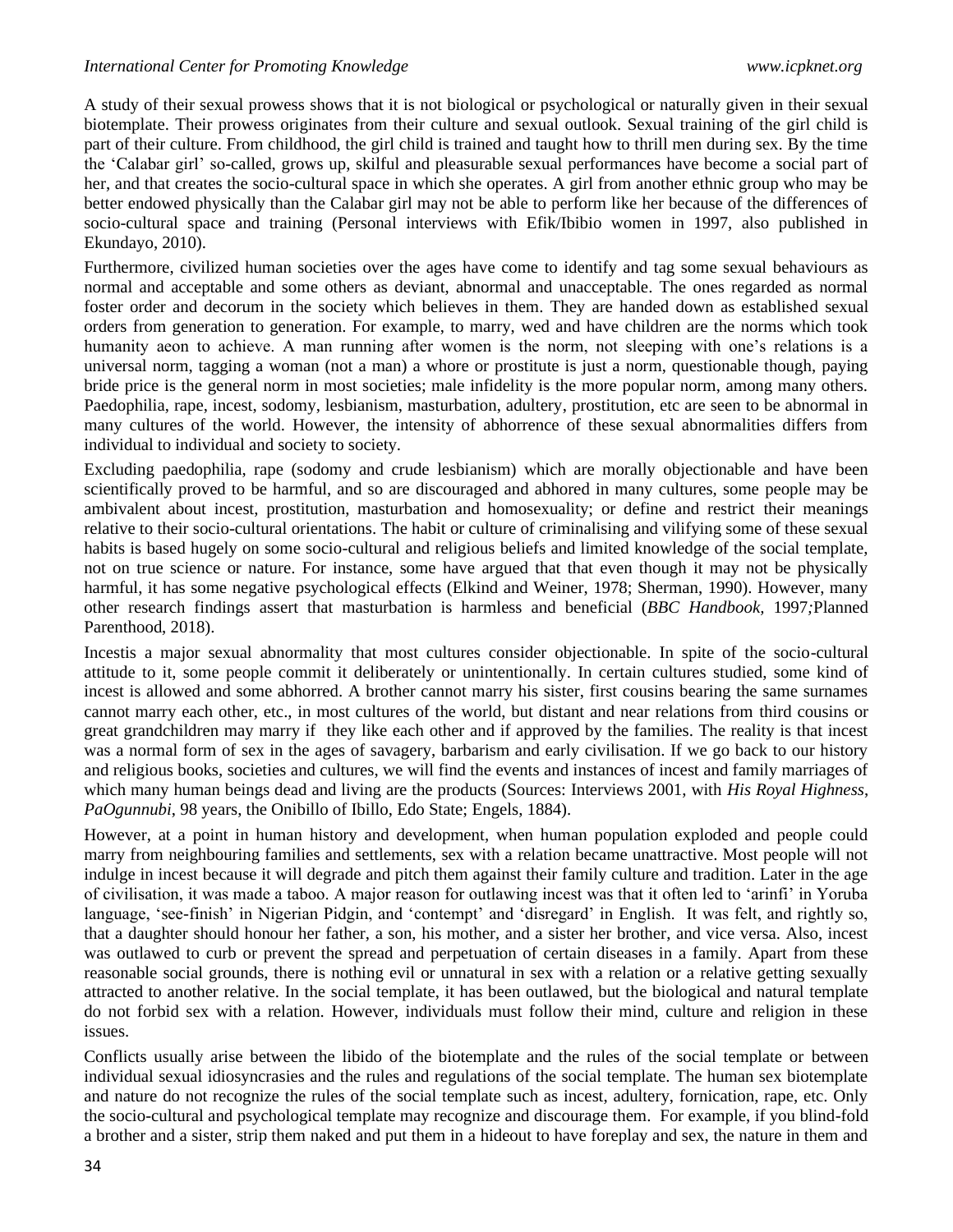A study of their sexual prowess shows that it is not biological or psychological or naturally given in their sexual biotemplate. Their prowess originates from their culture and sexual outlook. Sexual training of the girl child is part of their culture. From childhood, the girl child is trained and taught how to thrill men during sex. By the time the 'Calabar girl' so-called, grows up, skilful and pleasurable sexual performances have become a social part of her, and that creates the socio-cultural space in which she operates. A girl from another ethnic group who may be better endowed physically than the Calabar girl may not be able to perform like her because of the differences of socio-cultural space and training (Personal interviews with Efik/Ibibio women in 1997, also published in Ekundayo, 2010).

Furthermore, civilized human societies over the ages have come to identify and tag some sexual behaviours as normal and acceptable and some others as deviant, abnormal and unacceptable. The ones regarded as normal foster order and decorum in the society which believes in them. They are handed down as established sexual orders from generation to generation. For example, to marry, wed and have children are the norms which took humanity aeon to achieve. A man running after women is the norm, not sleeping with one's relations is a universal norm, tagging a woman (not a man) a whore or prostitute is just a norm, questionable though, paying bride price is the general norm in most societies; male infidelity is the more popular norm, among many others. Paedophilia, rape, incest, sodomy, lesbianism, masturbation, adultery, prostitution, etc are seen to be abnormal in many cultures of the world. However, the intensity of abhorrence of these sexual abnormalities differs from individual to individual and society to society.

Excluding paedophilia, rape (sodomy and crude lesbianism) which are morally objectionable and have been scientifically proved to be harmful, and so are discouraged and abhored in many cultures, some people may be ambivalent about incest, prostitution, masturbation and homosexuality; or define and restrict their meanings relative to their socio-cultural orientations. The habit or culture of criminalising and vilifying some of these sexual habits is based hugely on some socio-cultural and religious beliefs and limited knowledge of the social template, not on true science or nature. For instance, some have argued that that even though it may not be physically harmful, it has some negative psychological effects (Elkind and Weiner, 1978; Sherman, 1990). However, many other research findings assert that masturbation is harmless and beneficial (*BBC Handbook,* 1997*;*Planned Parenthood, 2018).

Incestis a major sexual abnormality that most cultures consider objectionable. In spite of the socio-cultural attitude to it, some people commit it deliberately or unintentionally. In certain cultures studied, some kind of incest is allowed and some abhorred. A brother cannot marry his sister, first cousins bearing the same surnames cannot marry each other, etc., in most cultures of the world, but distant and near relations from third cousins or great grandchildren may marry if they like each other and if approved by the families. The reality is that incest was a normal form of sex in the ages of savagery, barbarism and early civilisation. If we go back to our history and religious books, societies and cultures, we will find the events and instances of incest and family marriages of which many human beings dead and living are the products (Sources: Interviews 2001, with *His Royal Highness*, *PaOgunnubi*, 98 years, the Onibillo of Ibillo, Edo State; Engels, 1884).

However, at a point in human history and development, when human population exploded and people could marry from neighbouring families and settlements, sex with a relation became unattractive. Most people will not indulge in incest because it will degrade and pitch them against their family culture and tradition. Later in the age of civilisation, it was made a taboo. A major reason for outlawing incest was that it often led to 'arinfi' in Yoruba language, 'see-finish' in Nigerian Pidgin, and 'contempt' and 'disregard' in English. It was felt, and rightly so, that a daughter should honour her father, a son, his mother, and a sister her brother, and vice versa. Also, incest was outlawed to curb or prevent the spread and perpetuation of certain diseases in a family. Apart from these reasonable social grounds, there is nothing evil or unnatural in sex with a relation or a relative getting sexually attracted to another relative. In the social template, it has been outlawed, but the biological and natural template do not forbid sex with a relation. However, individuals must follow their mind, culture and religion in these issues.

Conflicts usually arise between the libido of the biotemplate and the rules of the social template or between individual sexual idiosyncrasies and the rules and regulations of the social template. The human sex biotemplate and nature do not recognize the rules of the social template such as incest, adultery, fornication, rape, etc. Only the socio-cultural and psychological template may recognize and discourage them. For example, if you blind-fold a brother and a sister, strip them naked and put them in a hideout to have foreplay and sex, the nature in them and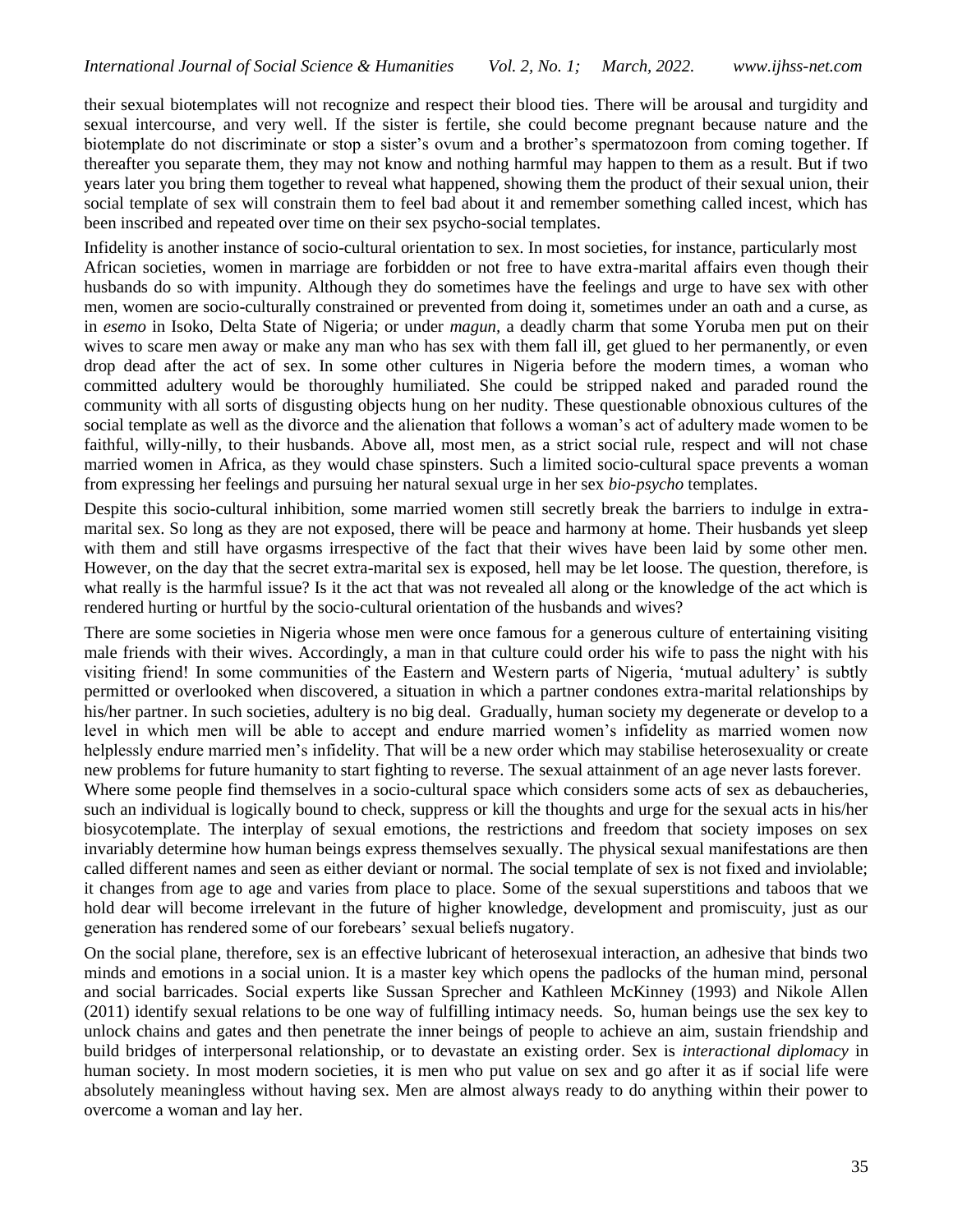their sexual biotemplates will not recognize and respect their blood ties. There will be arousal and turgidity and sexual intercourse, and very well. If the sister is fertile, she could become pregnant because nature and the biotemplate do not discriminate or stop a sister's ovum and a brother's spermatozoon from coming together. If thereafter you separate them, they may not know and nothing harmful may happen to them as a result. But if two years later you bring them together to reveal what happened, showing them the product of their sexual union, their social template of sex will constrain them to feel bad about it and remember something called incest, which has been inscribed and repeated over time on their sex psycho-social templates.

Infidelity is another instance of socio-cultural orientation to sex. In most societies, for instance, particularly most African societies, women in marriage are forbidden or not free to have extra-marital affairs even though their husbands do so with impunity. Although they do sometimes have the feelings and urge to have sex with other men, women are socio-culturally constrained or prevented from doing it, sometimes under an oath and a curse, as in *esemo* in Isoko, Delta State of Nigeria; or under *magun,* a deadly charm that some Yoruba men put on their wives to scare men away or make any man who has sex with them fall ill, get glued to her permanently, or even drop dead after the act of sex. In some other cultures in Nigeria before the modern times, a woman who committed adultery would be thoroughly humiliated. She could be stripped naked and paraded round the community with all sorts of disgusting objects hung on her nudity. These questionable obnoxious cultures of the social template as well as the divorce and the alienation that follows a woman's act of adultery made women to be faithful, willy-nilly, to their husbands. Above all, most men, as a strict social rule, respect and will not chase married women in Africa, as they would chase spinsters. Such a limited socio-cultural space prevents a woman from expressing her feelings and pursuing her natural sexual urge in her sex *bio-psycho* templates.

Despite this socio-cultural inhibition, some married women still secretly break the barriers to indulge in extramarital sex. So long as they are not exposed, there will be peace and harmony at home. Their husbands yet sleep with them and still have orgasms irrespective of the fact that their wives have been laid by some other men. However, on the day that the secret extra-marital sex is exposed, hell may be let loose. The question, therefore, is what really is the harmful issue? Is it the act that was not revealed all along or the knowledge of the act which is rendered hurting or hurtful by the socio-cultural orientation of the husbands and wives?

There are some societies in Nigeria whose men were once famous for a generous culture of entertaining visiting male friends with their wives. Accordingly, a man in that culture could order his wife to pass the night with his visiting friend! In some communities of the Eastern and Western parts of Nigeria, 'mutual adultery' is subtly permitted or overlooked when discovered, a situation in which a partner condones extra-marital relationships by his/her partner. In such societies, adultery is no big deal. Gradually, human society my degenerate or develop to a level in which men will be able to accept and endure married women's infidelity as married women now helplessly endure married men's infidelity. That will be a new order which may stabilise heterosexuality or create new problems for future humanity to start fighting to reverse. The sexual attainment of an age never lasts forever.

Where some people find themselves in a socio-cultural space which considers some acts of sex as debaucheries, such an individual is logically bound to check, suppress or kill the thoughts and urge for the sexual acts in his/her biosycotemplate. The interplay of sexual emotions, the restrictions and freedom that society imposes on sex invariably determine how human beings express themselves sexually. The physical sexual manifestations are then called different names and seen as either deviant or normal. The social template of sex is not fixed and inviolable; it changes from age to age and varies from place to place. Some of the sexual superstitions and taboos that we hold dear will become irrelevant in the future of higher knowledge, development and promiscuity, just as our generation has rendered some of our forebears' sexual beliefs nugatory.

On the social plane, therefore, sex is an effective lubricant of heterosexual interaction, an adhesive that binds two minds and emotions in a social union. It is a master key which opens the padlocks of the human mind, personal and social barricades. Social experts like Sussan Sprecher and Kathleen McKinney (1993) and Nikole Allen (2011) identify sexual relations to be one way of fulfilling intimacy needs. So, human beings use the sex key to unlock chains and gates and then penetrate the inner beings of people to achieve an aim, sustain friendship and build bridges of interpersonal relationship, or to devastate an existing order. Sex is *interactional diplomacy* in human society. In most modern societies, it is men who put value on sex and go after it as if social life were absolutely meaningless without having sex. Men are almost always ready to do anything within their power to overcome a woman and lay her.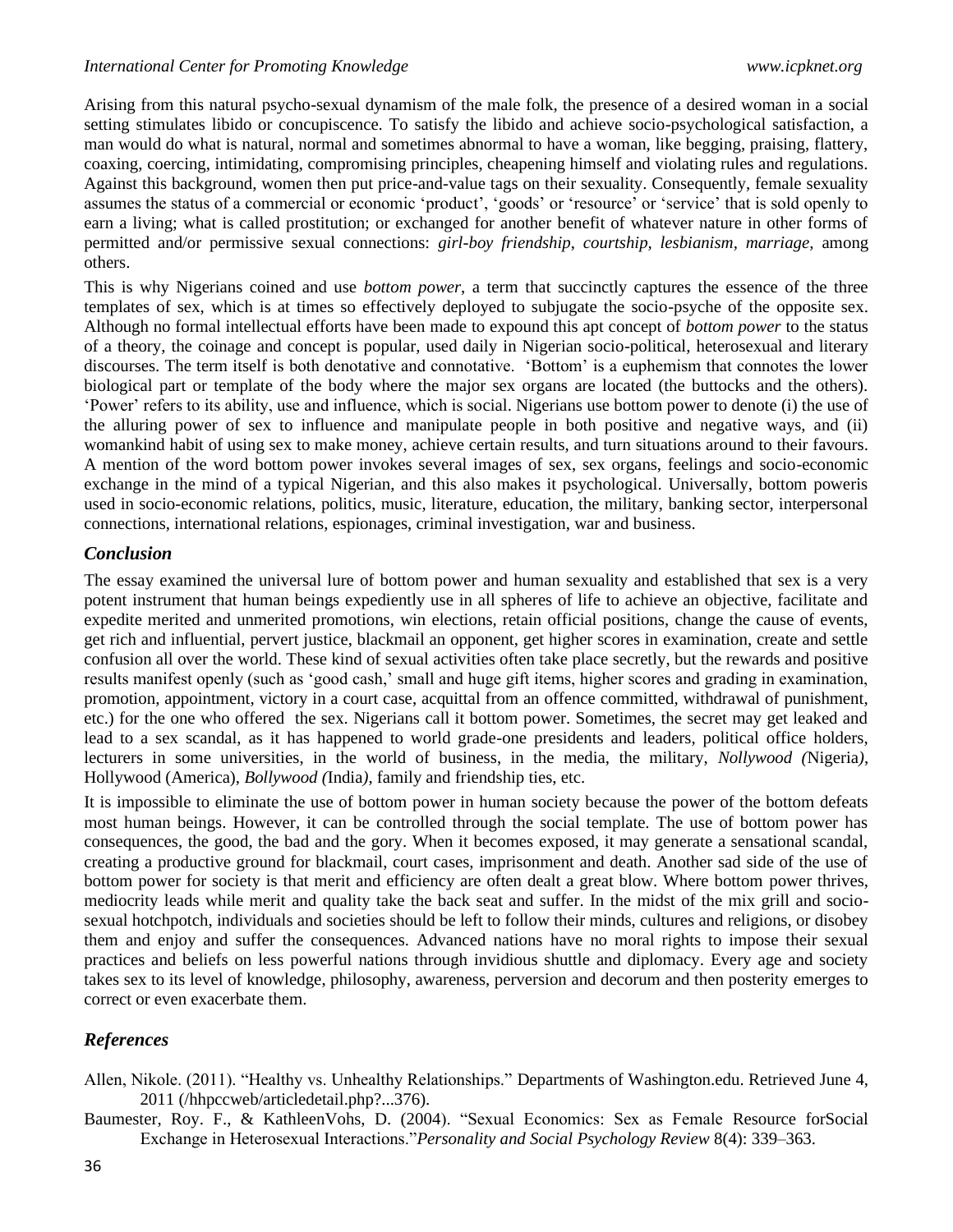Arising from this natural psycho-sexual dynamism of the male folk, the presence of a desired woman in a social setting stimulates libido or concupiscence. To satisfy the libido and achieve socio-psychological satisfaction, a man would do what is natural, normal and sometimes abnormal to have a woman, like begging, praising, flattery, coaxing, coercing, intimidating, compromising principles, cheapening himself and violating rules and regulations. Against this background, women then put price-and-value tags on their sexuality. Consequently, female sexuality assumes the status of a commercial or economic 'product', 'goods' or 'resource' or 'service' that is sold openly to earn a living; what is called prostitution; or exchanged for another benefit of whatever nature in other forms of permitted and/or permissive sexual connections: *girl-boy friendship*, *courtship, lesbianism, marriage,* among others.

This is why Nigerians coined and use *bottom power*, a term that succinctly captures the essence of the three templates of sex, which is at times so effectively deployed to subjugate the socio-psyche of the opposite sex. Although no formal intellectual efforts have been made to expound this apt concept of *bottom power* to the status of a theory, the coinage and concept is popular, used daily in Nigerian socio-political, heterosexual and literary discourses. The term itself is both denotative and connotative. 'Bottom' is a euphemism that connotes the lower biological part or template of the body where the major sex organs are located (the buttocks and the others). 'Power' refers to its ability, use and influence, which is social. Nigerians use bottom power to denote (i) the use of the alluring power of sex to influence and manipulate people in both positive and negative ways, and (ii) womankind habit of using sex to make money, achieve certain results, and turn situations around to their favours. A mention of the word bottom power invokes several images of sex, sex organs, feelings and socio-economic exchange in the mind of a typical Nigerian, and this also makes it psychological. Universally, bottom poweris used in socio-economic relations, politics, music, literature, education, the military, banking sector, interpersonal connections, international relations, espionages, criminal investigation, war and business.

### *Conclusion*

The essay examined the universal lure of bottom power and human sexuality and established that sex is a very potent instrument that human beings expediently use in all spheres of life to achieve an objective, facilitate and expedite merited and unmerited promotions, win elections, retain official positions, change the cause of events, get rich and influential, pervert justice, blackmail an opponent, get higher scores in examination, create and settle confusion all over the world. These kind of sexual activities often take place secretly, but the rewards and positive results manifest openly (such as 'good cash,' small and huge gift items, higher scores and grading in examination, promotion, appointment, victory in a court case, acquittal from an offence committed, withdrawal of punishment, etc.) for the one who offered the sex. Nigerians call it bottom power. Sometimes, the secret may get leaked and lead to a sex scandal, as it has happened to world grade-one presidents and leaders, political office holders, lecturers in some universities, in the world of business, in the media, the military, *Nollywood (*Nigeria*)*, Hollywood (America), *Bollywood (*India*)*, family and friendship ties, etc.

It is impossible to eliminate the use of bottom power in human society because the power of the bottom defeats most human beings. However, it can be controlled through the social template. The use of bottom power has consequences, the good, the bad and the gory. When it becomes exposed, it may generate a sensational scandal, creating a productive ground for blackmail, court cases, imprisonment and death. Another sad side of the use of bottom power for society is that merit and efficiency are often dealt a great blow. Where bottom power thrives, mediocrity leads while merit and quality take the back seat and suffer. In the midst of the mix grill and sociosexual hotchpotch, individuals and societies should be left to follow their minds, cultures and religions, or disobey them and enjoy and suffer the consequences. Advanced nations have no moral rights to impose their sexual practices and beliefs on less powerful nations through invidious shuttle and diplomacy. Every age and society takes sex to its level of knowledge, philosophy, awareness, perversion and decorum and then posterity emerges to correct or even exacerbate them.

# *References*

- Allen, Nikole. (2011). "Healthy vs. Unhealthy Relationships." Departments of Washington.edu. Retrieved June 4, 2011 (/hhpccweb/articledetail.php?...376).
- Baumester, Roy. F., & KathleenVohs, D. (2004). "Sexual Economics: Sex as Female Resource forSocial Exchange in Heterosexual Interactions."*Personality and Social Psychology Review* 8(4): 339–363.